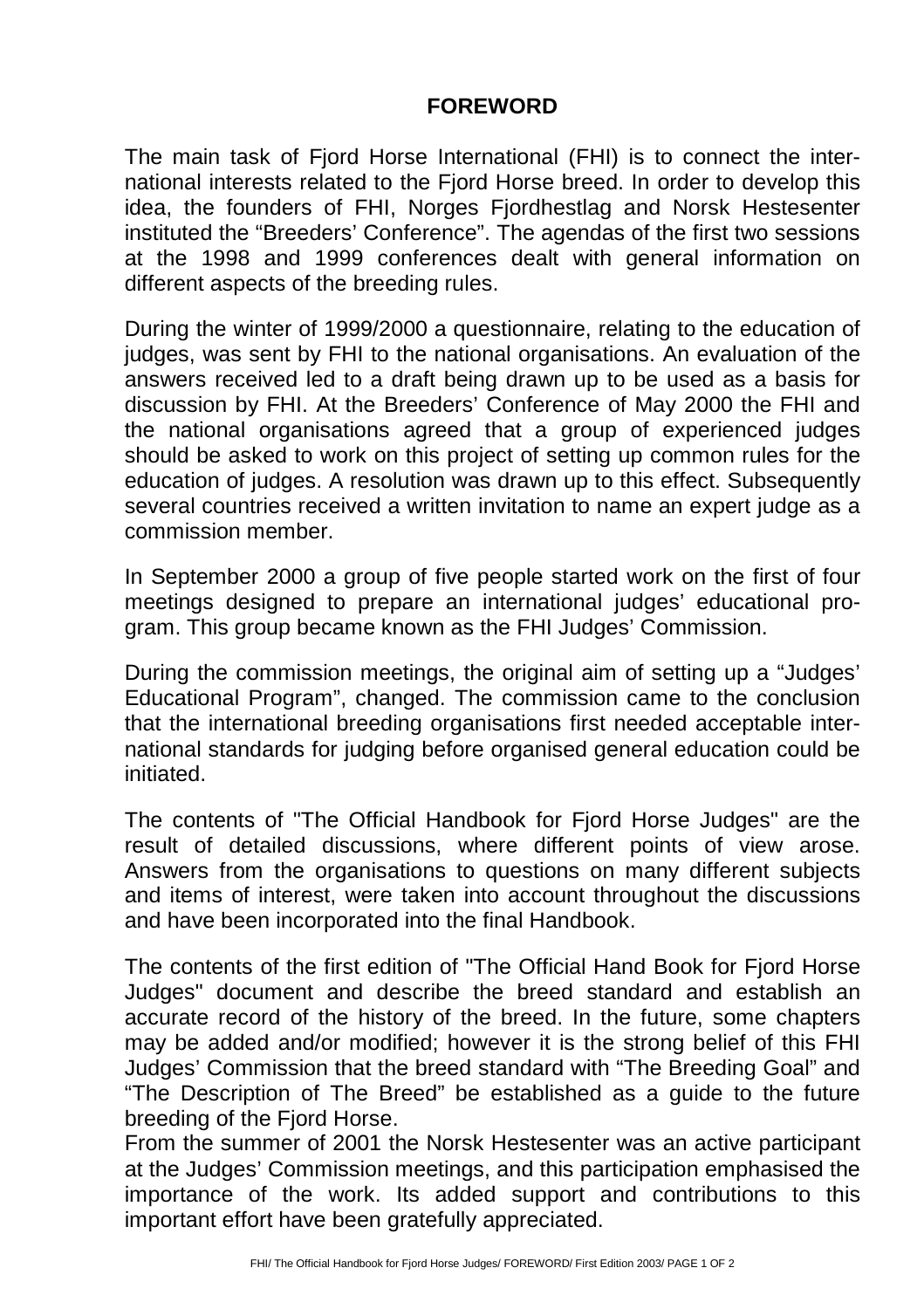## **FOREWORD**

The main task of Fjord Horse International (FHI) is to connect the international interests related to the Fjord Horse breed. In order to develop this idea, the founders of FHI, Norges Fjordhestlag and Norsk Hestesenter instituted the "Breeders' Conference". The agendas of the first two sessions at the 1998 and 1999 conferences dealt with general information on different aspects of the breeding rules.

During the winter of 1999/2000 a questionnaire, relating to the education of judges, was sent by FHI to the national organisations. An evaluation of the answers received led to a draft being drawn up to be used as a basis for discussion by FHI. At the Breeders' Conference of May 2000 the FHI and the national organisations agreed that a group of experienced judges should be asked to work on this project of setting up common rules for the education of judges. A resolution was drawn up to this effect. Subsequently several countries received a written invitation to name an expert judge as a commission member.

In September 2000 a group of five people started work on the first of four meetings designed to prepare an international judges' educational program. This group became known as the FHI Judges' Commission.

During the commission meetings, the original aim of setting up a "Judges' Educational Program", changed. The commission came to the conclusion that the international breeding organisations first needed acceptable international standards for judging before organised general education could be initiated.

The contents of "The Official Handbook for Fjord Horse Judges" are the result of detailed discussions, where different points of view arose. Answers from the organisations to questions on many different subjects and items of interest, were taken into account throughout the discussions and have been incorporated into the final Handbook.

The contents of the first edition of "The Official Hand Book for Fjord Horse Judges" document and describe the breed standard and establish an accurate record of the history of the breed. In the future, some chapters may be added and/or modified; however it is the strong belief of this FHI Judges' Commission that the breed standard with "The Breeding Goal" and "The Description of The Breed" be established as a guide to the future breeding of the Fjord Horse.

From the summer of 2001 the Norsk Hestesenter was an active participant at the Judges' Commission meetings, and this participation emphasised the importance of the work. Its added support and contributions to this important effort have been gratefully appreciated.